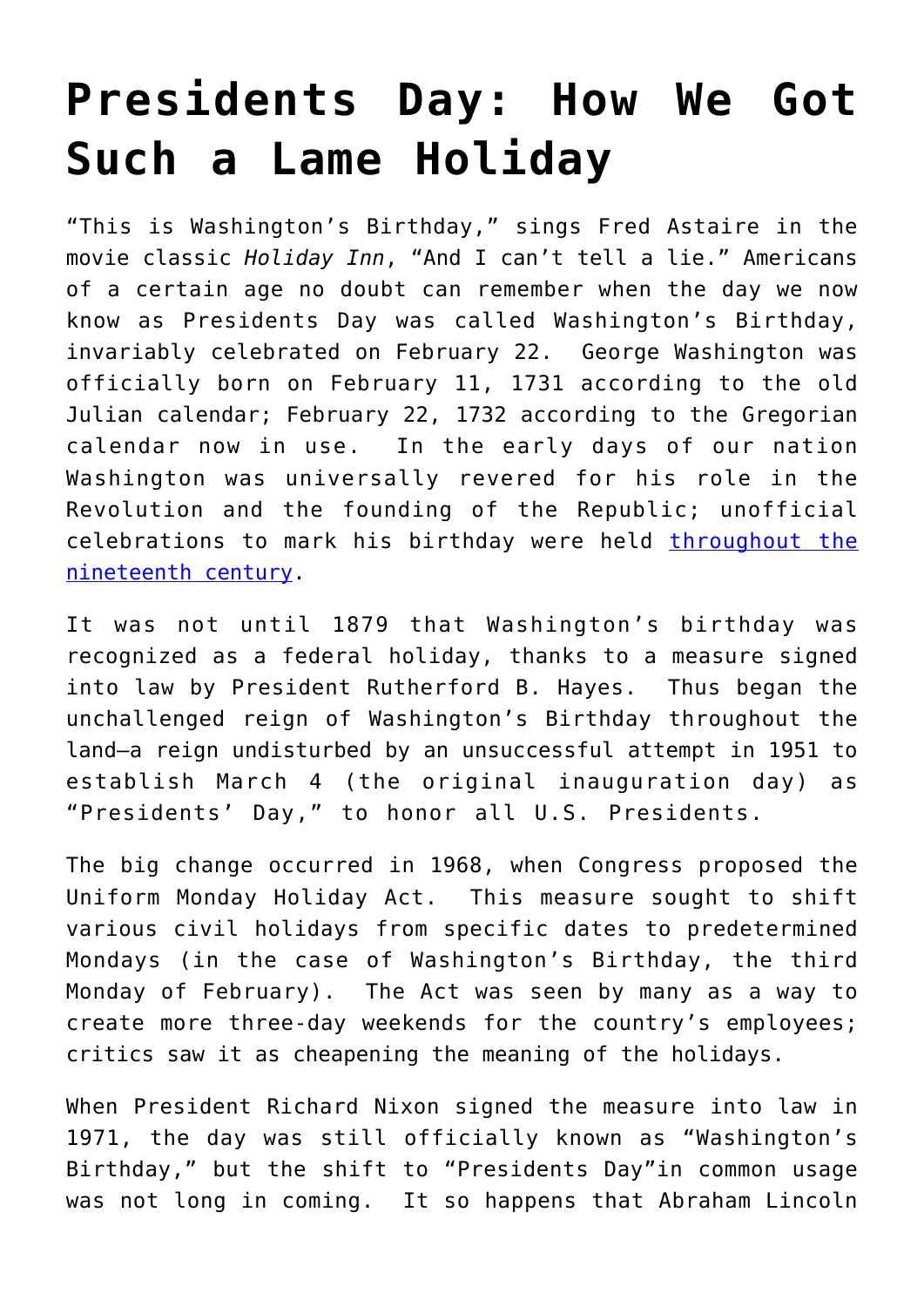## **[Presidents Day: How We Got](https://intellectualtakeout.org/2017/02/presidents-day-how-we-got-such-a-lame-holiday/) [Such a Lame Holiday](https://intellectualtakeout.org/2017/02/presidents-day-how-we-got-such-a-lame-holiday/)**

"This is Washington's Birthday," sings Fred Astaire in the movie classic *Holiday Inn*, "And I can't tell a lie." Americans of a certain age no doubt can remember when the day we now know as Presidents Day was called Washington's Birthday, invariably celebrated on February 22. George Washington was officially born on February 11, 1731 according to the old Julian calendar; February 22, 1732 according to the Gregorian calendar now in use. In the early days of our nation Washington was universally revered for his role in the Revolution and the founding of the Republic; unofficial celebrations to mark his birthday were held [throughout the](http://www.history.com/topics/holidays/presidents-day) [nineteenth century.](http://www.history.com/topics/holidays/presidents-day)

It was not until 1879 that Washington's birthday was recognized as a federal holiday, thanks to a measure signed into law by President Rutherford B. Hayes. Thus began the unchallenged reign of Washington's Birthday throughout the land—a reign undisturbed by an unsuccessful attempt in 1951 to establish March 4 (the original inauguration day) as "Presidents' Day," to honor all U.S. Presidents.

The big change occurred in 1968, when Congress proposed the Uniform Monday Holiday Act. This measure sought to shift various civil holidays from specific dates to predetermined Mondays (in the case of Washington's Birthday, the third Monday of February). The Act was seen by many as a way to create more three-day weekends for the country's employees; critics saw it as cheapening the meaning of the holidays.

When President Richard Nixon signed the measure into law in 1971, the day was still officially known as "Washington's Birthday," but the shift to "Presidents Day"in common usage was not long in coming. It so happens that Abraham Lincoln